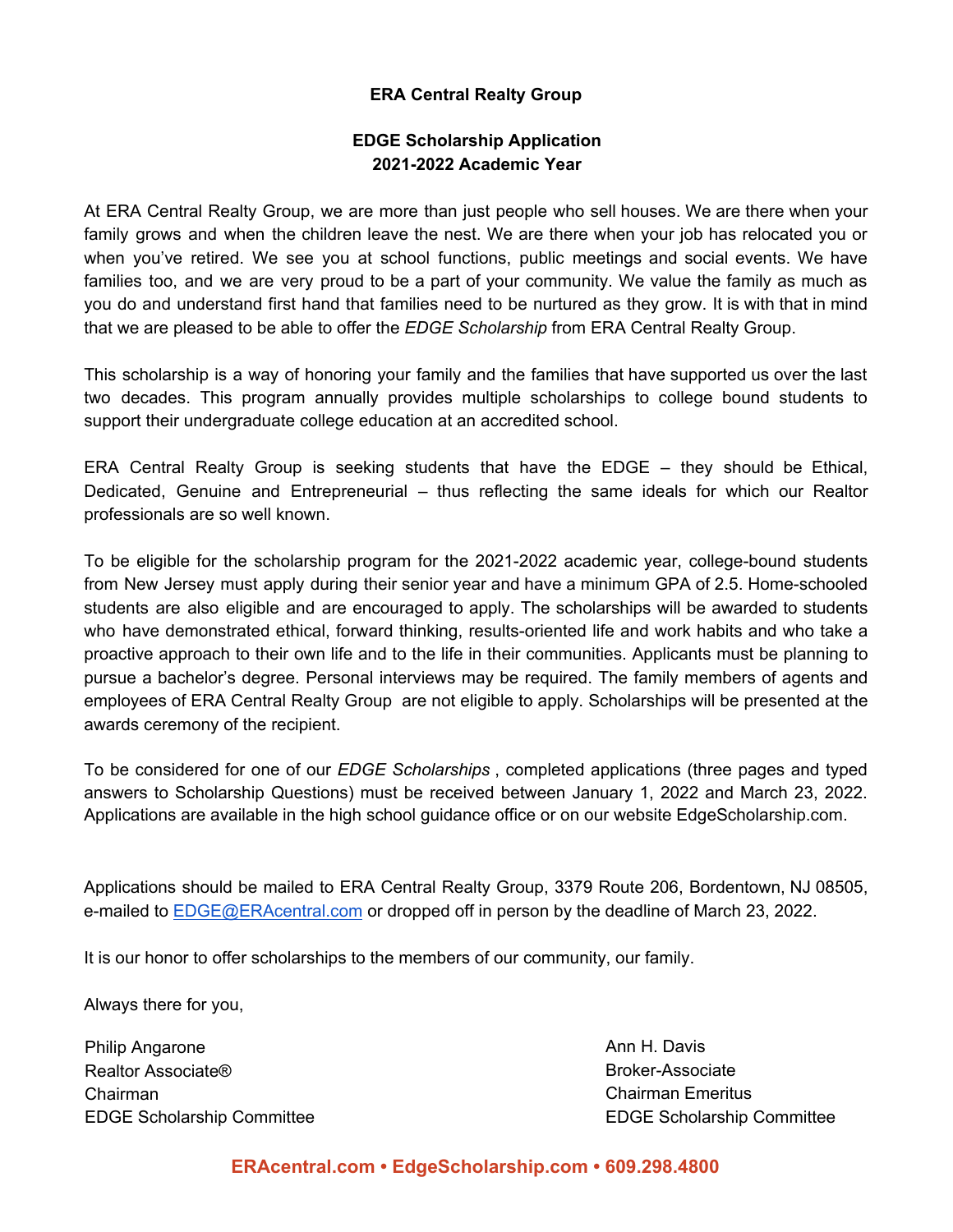### **ERA Central Realty Group**

## **EDGE Scholarship Application 2021-2022 Academic Year**

At ERA Central Realty Group, we are more than just people who sell houses. We are there when your family grows and when the children leave the nest. We are there when your job has relocated you or when you've retired. We see you at school functions, public meetings and social events. We have families too, and we are very proud to be a part of your community. We value the family as much as you do and understand first hand that families need to be nurtured as they grow. It is with that in mind that we are pleased to be able to offer the *EDGE Scholarship* from ERA Central Realty Group.

This scholarship is a way of honoring your family and the families that have supported us over the last two decades. This program annually provides multiple scholarships to college bound students to support their undergraduate college education at an accredited school.

ERA Central Realty Group is seeking students that have the EDGE – they should be Ethical, Dedicated, Genuine and Entrepreneurial – thus reflecting the same ideals for which our Realtor professionals are so well known.

To be eligible for the scholarship program for the 2021-2022 academic year, college-bound students from New Jersey must apply during their senior year and have a minimum GPA of 2.5. Home-schooled students are also eligible and are encouraged to apply. The scholarships will be awarded to students who have demonstrated ethical, forward thinking, results-oriented life and work habits and who take a proactive approach to their own life and to the life in their communities. Applicants must be planning to pursue a bachelor's degree. Personal interviews may be required. The family members of agents and employees of ERA Central Realty Group are not eligible to apply. Scholarships will be presented at the awards ceremony of the recipient.

To be considered for one of our *EDGE Scholarships* , completed applications (three pages and typed answers to Scholarship Questions) must be received between January 1, 2022 and March 23, 2022. Applications are available in the high school guidance office or on our website EdgeScholarship.com.

Applications should be mailed to ERA Central Realty Group, 3379 Route 206, Bordentown, NJ 08505, e-mailed to [EDGE@ERAcentral.com](mailto:EDGE@ERAcentral.com) or dropped off in person by the deadline of March 23, 2022.

It is our honor to offer scholarships to the members of our community, our family.

Always there for you,

Philip Angarone **Ann H. Davis Ann H. Davis** Realtor Associate® **Broker-Associate** Broker-Associate Chairman Chairman Emeritus

EDGE Scholarship Committee EDGE Scholarship Committee

## **ERAcentral.com • EdgeScholarship.com • 609.298.4800**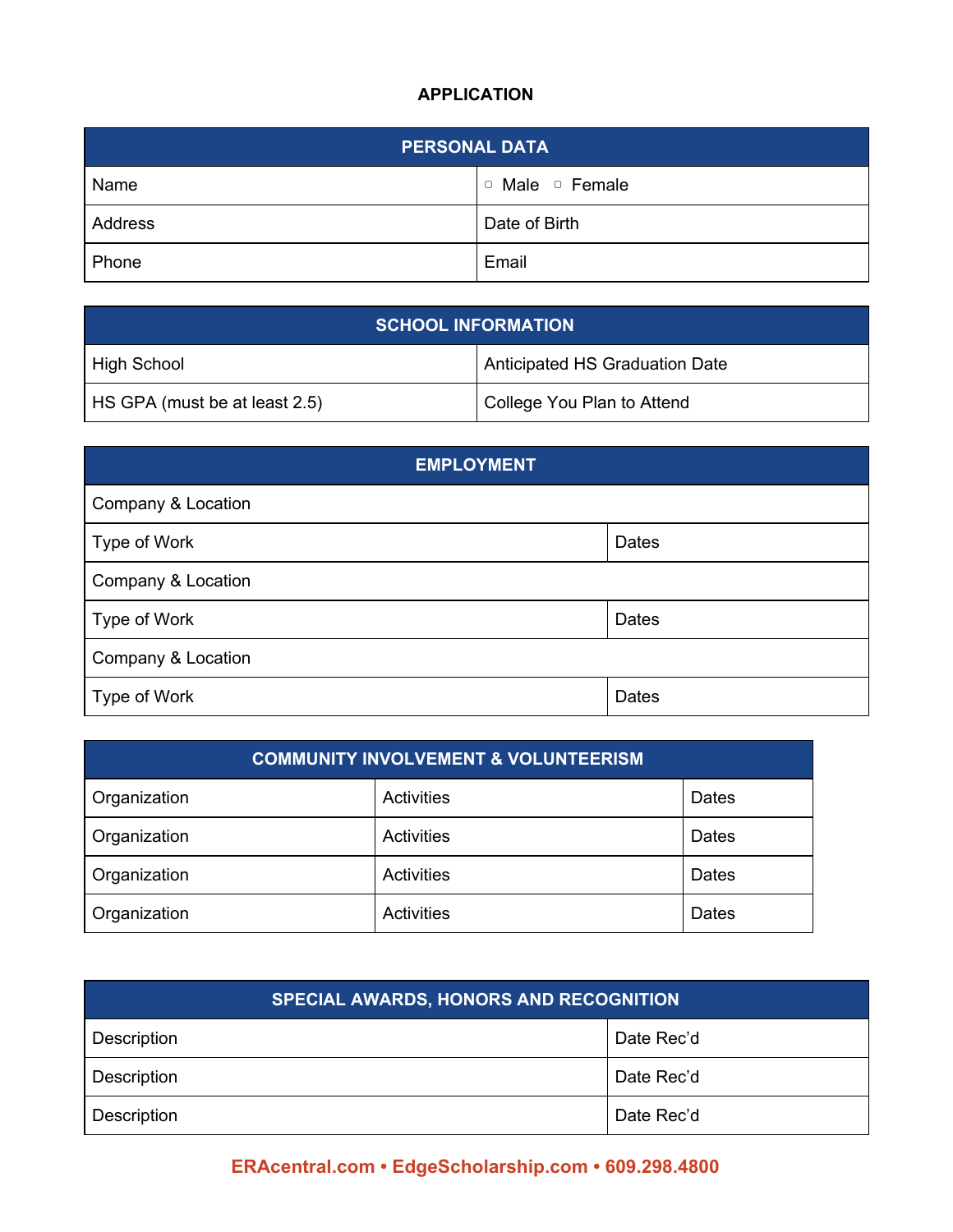# **APPLICATION**

| <b>PERSONAL DATA</b> |                             |  |  |
|----------------------|-----------------------------|--|--|
| Name                 | $\circ$ Male $\circ$ Female |  |  |
| Address              | Date of Birth               |  |  |
| Phone                | Email                       |  |  |

| <b>SCHOOL INFORMATION</b>     |                                |  |
|-------------------------------|--------------------------------|--|
| <sup>1</sup> High School      | Anticipated HS Graduation Date |  |
| HS GPA (must be at least 2.5) | College You Plan to Attend     |  |

| <b>EMPLOYMENT</b>  |              |  |  |
|--------------------|--------------|--|--|
| Company & Location |              |  |  |
| Type of Work       | Dates        |  |  |
| Company & Location |              |  |  |
| Type of Work       | Dates        |  |  |
| Company & Location |              |  |  |
| Type of Work       | <b>Dates</b> |  |  |

| <b>COMMUNITY INVOLVEMENT &amp; VOLUNTEERISM</b> |            |       |  |
|-------------------------------------------------|------------|-------|--|
| Organization                                    | Activities | Dates |  |
| Organization                                    | Activities | Dates |  |
| Organization                                    | Activities | Dates |  |
| Organization                                    | Activities | Dates |  |

| <b>SPECIAL AWARDS, HONORS AND RECOGNITION</b> |            |  |  |
|-----------------------------------------------|------------|--|--|
| Description                                   | Date Rec'd |  |  |
| Description                                   | Date Rec'd |  |  |
| Description                                   | Date Rec'd |  |  |

# **ERAcentral.com • EdgeScholarship.com • 609.298.4800**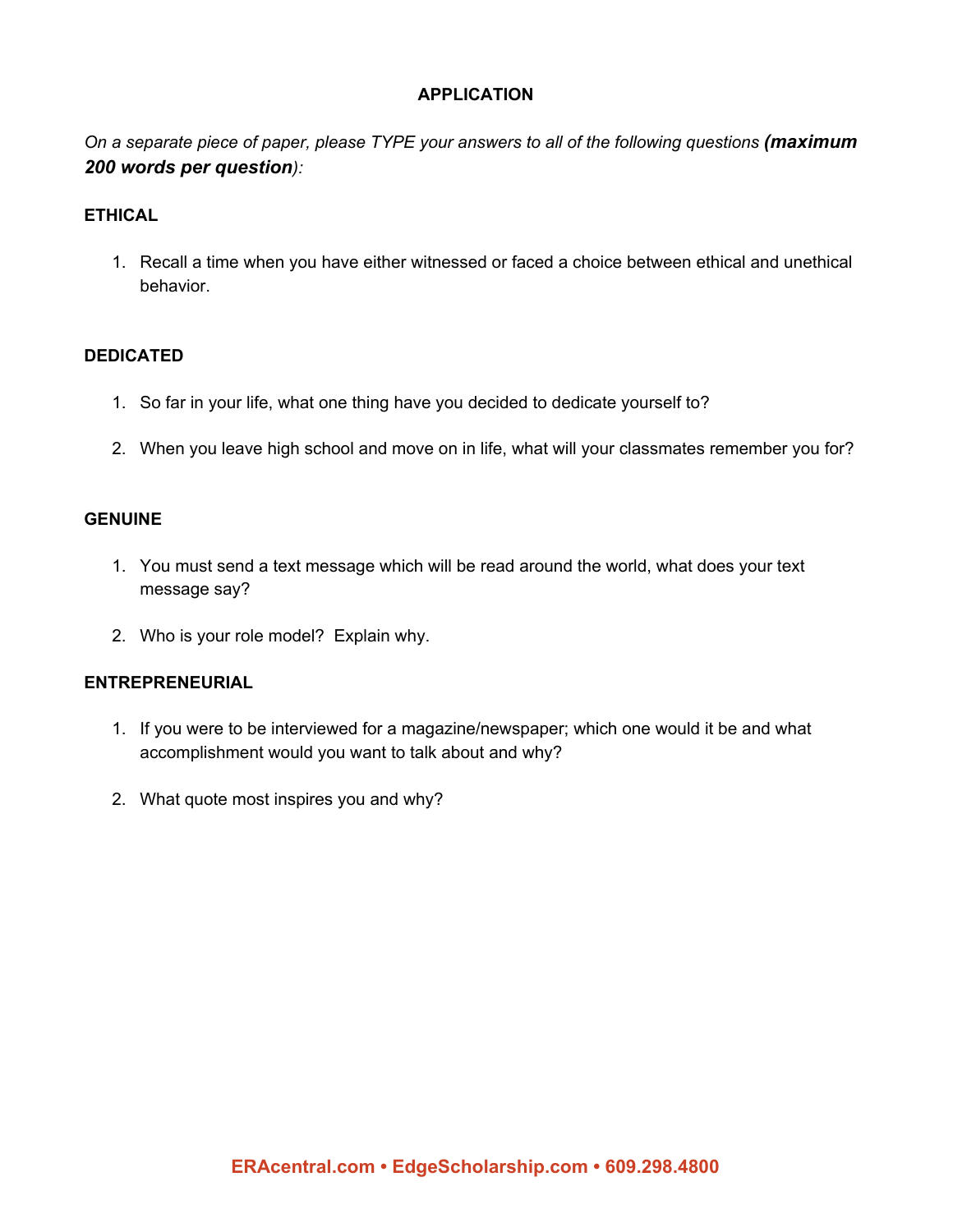#### **APPLICATION**

*On a separate piece of paper, please TYPE your answers to all of the following questions (maximum 200 words per question):*

#### **ETHICAL**

1. Recall a time when you have either witnessed or faced a choice between ethical and unethical behavior.

#### **DEDICATED**

- 1. So far in your life, what one thing have you decided to dedicate yourself to?
- 2. When you leave high school and move on in life, what will your classmates remember you for?

#### **GENUINE**

- 1. You must send a text message which will be read around the world, what does your text message say?
- 2. Who is your role model? Explain why.

#### **ENTREPRENEURIAL**

- 1. If you were to be interviewed for a magazine/newspaper; which one would it be and what accomplishment would you want to talk about and why?
- 2. What quote most inspires you and why?